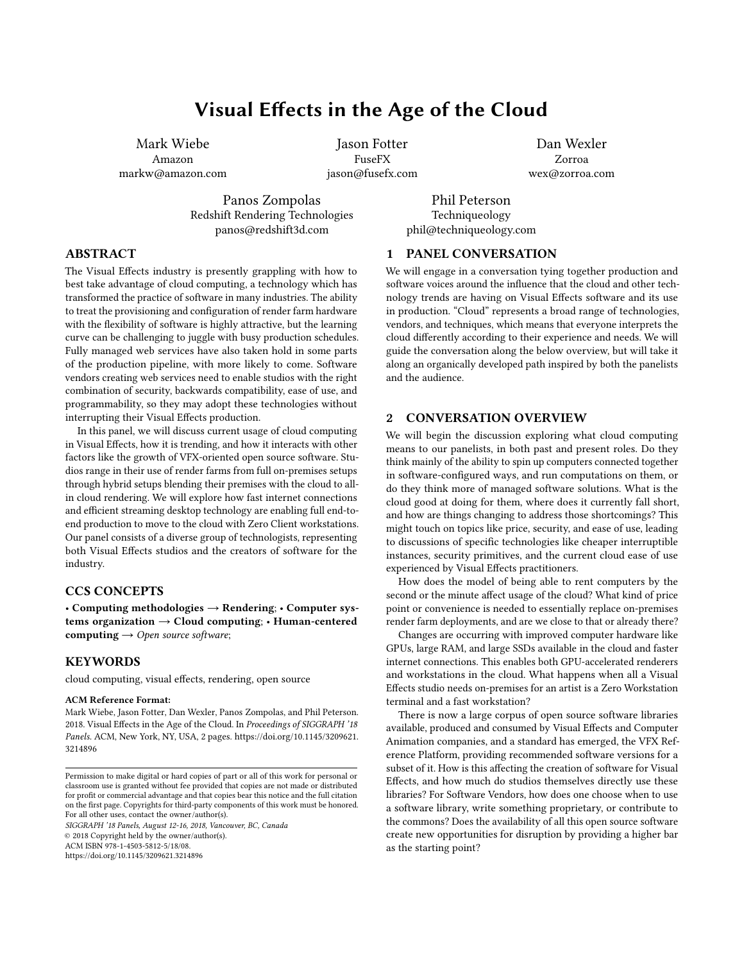# Visual Effects in the Age of the Cloud

Mark Wiebe Amazon markw@amazon.com

Jason Fotter FuseFX jason@fusefx.com

Dan Wexler Zorroa wex@zorroa.com

Phil Peterson Techniqueology phil@techniqueology.com

PANEL CONVERSATION

# ABSTRACT

The Visual Effects industry is presently grappling with how to best take advantage of cloud computing, a technology which has transformed the practice of software in many industries. The ability to treat the provisioning and configuration of render farm hardware with the flexibility of software is highly attractive, but the learning curve can be challenging to juggle with busy production schedules. Fully managed web services have also taken hold in some parts of the production pipeline, with more likely to come. Software vendors creating web services need to enable studios with the right combination of security, backwards compatibility, ease of use, and programmability, so they may adopt these technologies without interrupting their Visual Effects production.

Panos Zompolas Redshift Rendering Technologies panos@redshift3d.com

In this panel, we will discuss current usage of cloud computing in Visual Effects, how it is trending, and how it interacts with other factors like the growth of VFX-oriented open source software. Studios range in their use of render farms from full on-premises setups through hybrid setups blending their premises with the cloud to allin cloud rendering. We will explore how fast internet connections and efficient streaming desktop technology are enabling full end-toend production to move to the cloud with Zero Client workstations. Our panel consists of a diverse group of technologists, representing both Visual Effects studios and the creators of software for the industry.

## CCS CONCEPTS

• Computing methodologies → Rendering; • Computer systems organization  $\rightarrow$  Cloud computing; • Human-centered computing  $\rightarrow$  Open source software;

# **KEYWORDS**

cloud computing, visual effects, rendering, open source

#### ACM Reference Format:

Mark Wiebe, Jason Fotter, Dan Wexler, Panos Zompolas, and Phil Peterson. 2018. Visual Effects in the Age of the Cloud. In Proceedings of SIGGRAPH '18 Panels. ACM, New York, NY, USA, [2](#page-1-0) pages. [https://doi.org/10.1145/3209621.](https://doi.org/10.1145/3209621.3214896) [3214896](https://doi.org/10.1145/3209621.3214896)

SIGGRAPH '18 Panels, August 12-16, 2018, Vancouver, BC, Canada © 2018 Copyright held by the owner/author(s). ACM ISBN 978-1-4503-5812-5/18/08.

<https://doi.org/10.1145/3209621.3214896>

and the audience.

### 2 CONVERSATION OVERVIEW

We will begin the discussion exploring what cloud computing means to our panelists, in both past and present roles. Do they think mainly of the ability to spin up computers connected together in software-configured ways, and run computations on them, or do they think more of managed software solutions. What is the cloud good at doing for them, where does it currently fall short, and how are things changing to address those shortcomings? This might touch on topics like price, security, and ease of use, leading to discussions of specific technologies like cheaper interruptible instances, security primitives, and the current cloud ease of use experienced by Visual Effects practitioners.

We will engage in a conversation tying together production and software voices around the influence that the cloud and other technology trends are having on Visual Effects software and its use in production. "Cloud" represents a broad range of technologies, vendors, and techniques, which means that everyone interprets the cloud differently according to their experience and needs. We will guide the conversation along the below overview, but will take it along an organically developed path inspired by both the panelists

How does the model of being able to rent computers by the second or the minute affect usage of the cloud? What kind of price point or convenience is needed to essentially replace on-premises render farm deployments, and are we close to that or already there?

Changes are occurring with improved computer hardware like GPUs, large RAM, and large SSDs available in the cloud and faster internet connections. This enables both GPU-accelerated renderers and workstations in the cloud. What happens when all a Visual Effects studio needs on-premises for an artist is a Zero Workstation terminal and a fast workstation?

There is now a large corpus of open source software libraries available, produced and consumed by Visual Effects and Computer Animation companies, and a standard has emerged, the VFX Reference Platform, providing recommended software versions for a subset of it. How is this affecting the creation of software for Visual Effects, and how much do studios themselves directly use these libraries? For Software Vendors, how does one choose when to use a software library, write something proprietary, or contribute to the commons? Does the availability of all this open source software create new opportunities for disruption by providing a higher bar as the starting point?

Permission to make digital or hard copies of part or all of this work for personal or classroom use is granted without fee provided that copies are not made or distributed for profit or commercial advantage and that copies bear this notice and the full citation on the first page. Copyrights for third-party components of this work must be honored. For all other uses, contact the owner/author(s).